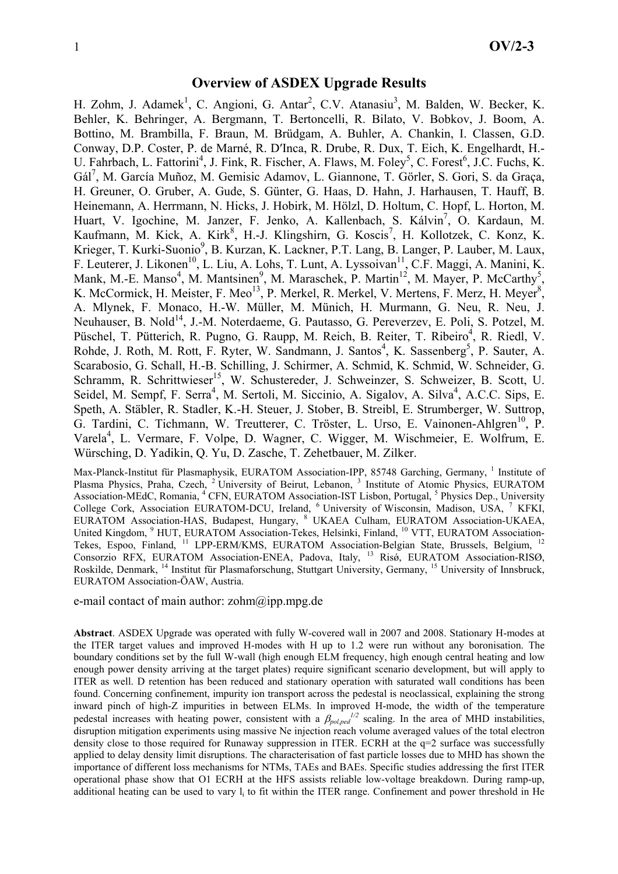# **Overview of ASDEX Upgrade Results**

H. Zohm, J. Adamek<sup>1</sup>, C. Angioni, G. Antar<sup>2</sup>, C.V. Atanasiu<sup>3</sup>, M. Balden, W. Becker, K. Behler, K. Behringer, A. Bergmann, T. Bertoncelli, R. Bilato, V. Bobkov, J. Boom, A. Bottino, M. Brambilla, F. Braun, M. Brüdgam, A. Buhler, A. Chankin, I. Classen, G.D. Conway, D.P. Coster, P. de Marné, R. D′Inca, R. Drube, R. Dux, T. Eich, K. Engelhardt, H.- U. Fahrbach, L. Fattorini<sup>4</sup>, J. Fink, R. Fischer, A. Flaws, M. Foley<sup>5</sup>, C. Forest<sup>6</sup>, J.C. Fuchs, K. Gál<sup>7</sup>, M. García Muñoz, M. Gemisic Adamov, L. Giannone, T. Görler, S. Gori, S. da Graça, H. Greuner, O. Gruber, A. Gude, S. Günter, G. Haas, D. Hahn, J. Harhausen, T. Hauff, B. Heinemann, A. Herrmann, N. Hicks, J. Hobirk, M. Hölzl, D. Holtum, C. Hopf, L. Horton, M. Huart, V. Igochine, M. Janzer, F. Jenko, A. Kallenbach, S. Kálvin<sup>7</sup>, O. Kardaun, M. Kaufmann, M. Kick, A. Kirk<sup>8</sup>, H.-J. Klingshirn, G. Koscis<sup>7</sup>, H. Kollotzek, C. Konz, K. Krieger, T. Kurki-Suonio<sup>9</sup>, B. Kurzan, K. Lackner, P.T. Lang, B. Langer, P. Lauber, M. Laux, F. Leuterer, J. Likonen<sup>10</sup>, L. Liu, A. Lohs, T. Lunt, A. Lyssoivan<sup>11</sup>, C.F. Maggi, A. Manini, K. Mank, M.-E. Manso<sup>4</sup>, M. Mantsinen<sup>9</sup>, M. Maraschek, P. Martin<sup>12</sup>, M. Mayer, P. McCarthy<sup>5</sup>, K. McCormick, H. Meister, F. Meo<sup>13</sup>, P. Merkel, R. Merkel, V. Mertens, F. Merz, H. Meyer<sup>8</sup>, A. Mlynek, F. Monaco, H.-W. Müller, M. Münich, H. Murmann, G. Neu, R. Neu, J. Neuhauser, B. Nold<sup>14</sup>, J.-M. Noterdaeme, G. Pautasso, G. Pereverzev, E. Poli, S. Potzel, M. Püschel, T. Pütterich, R. Pugno, G. Raupp, M. Reich, B. Reiter, T. Ribeiro<sup>4</sup>, R. Riedl, V. Rohde, J. Roth, M. Rott, F. Ryter, W. Sandmann, J. Santos<sup>4</sup>, K. Sassenberg<sup>5</sup>, P. Sauter, A. Scarabosio, G. Schall, H.-B. Schilling, J. Schirmer, A. Schmid, K. Schmid, W. Schneider, G. Schramm, R. Schrittwieser<sup>15</sup>, W. Schustereder, J. Schweinzer, S. Schweizer, B. Scott, U. Seidel, M. Sempf, F. Serra<sup>4</sup>, M. Sertoli, M. Siccinio, A. Sigalov, A. Silva<sup>4</sup>, A.C.C. Sips, E. Speth, A. Stäbler, R. Stadler, K.-H. Steuer, J. Stober, B. Streibl, E. Strumberger, W. Suttrop, G. Tardini, C. Tichmann, W. Treutterer, C. Tröster, L. Urso, E. Vainonen-Ahlgren<sup>10</sup>, P. Varela<sup>4</sup>, L. Vermare, F. Volpe, D. Wagner, C. Wigger, M. Wischmeier, E. Wolfrum, E. Würsching, D. Yadikin, Q. Yu, D. Zasche, T. Zehetbauer, M. Zilker.

Max-Planck-Institut für Plasmaphysik, EURATOM Association-IPP, 85748 Garching, Germany, <sup>1</sup> Institute of Plasma Physics, Praha, Czech, <sup>2</sup> University of Beirut, Lebanon, <sup>3</sup> Institute of Atomic Physics, EURATOM Association-MEdC, Romania, <sup>4</sup> CFN, EURATOM Association-IST Lisbon, Portugal, <sup>5</sup> Physics Dep., University College Cork, Association EURATOM-DCU, Ireland, <sup>6</sup> University of Wisconsin, Madison, USA, <sup>7</sup> KFKI, EURATOM Association-HAS, Budapest, Hungary, <sup>8</sup> UKAEA Culham, EURATOM Association-UKAEA, United Kingdom, <sup>9</sup> HUT, EURATOM Association-Tekes, Helsinki, Finland, <sup>10</sup> VTT, EURATOM Association-Tekes, Espoo, Finland, <sup>11</sup> LPP-ERM/KMS, EURATOM Association-Belgian State, Brussels, Belgium, <sup>12</sup> Consorzio RFX, EURATOM Association-ENEA, Padova, Italy, <sup>13</sup> Risé, EURATOM Association-RISØ, Roskilde, Denmark, 14 Institut für Plasmaforschung, Stuttgart University, Germany, 15 University of Innsbruck, EURATOM Association-ÖAW, Austria.

e-mail contact of main author: zohm@ipp.mpg.de

**Abstract**. ASDEX Upgrade was operated with fully W-covered wall in 2007 and 2008. Stationary H-modes at the ITER target values and improved H-modes with H up to 1.2 were run without any boronisation. The boundary conditions set by the full W-wall (high enough ELM frequency, high enough central heating and low enough power density arriving at the target plates) require significant scenario development, but will apply to ITER as well. D retention has been reduced and stationary operation with saturated wall conditions has been found. Concerning confinement, impurity ion transport across the pedestal is neoclassical, explaining the strong inward pinch of high-Z impurities in between ELMs. In improved H-mode, the width of the temperature pedestal increases with heating power, consistent with a  $\beta_{pol,ped}$  scaling. In the area of MHD instabilities, disruption mitigation experiments using massive Ne injection reach volume averaged values of the total electron density close to those required for Runaway suppression in ITER. ECRH at the  $q=2$  surface was successfully applied to delay density limit disruptions. The characterisation of fast particle losses due to MHD has shown the importance of different loss mechanisms for NTMs, TAEs and BAEs. Specific studies addressing the first ITER operational phase show that O1 ECRH at the HFS assists reliable low-voltage breakdown. During ramp-up, additional heating can be used to vary  $l_i$  to fit within the ITER range. Confinement and power threshold in He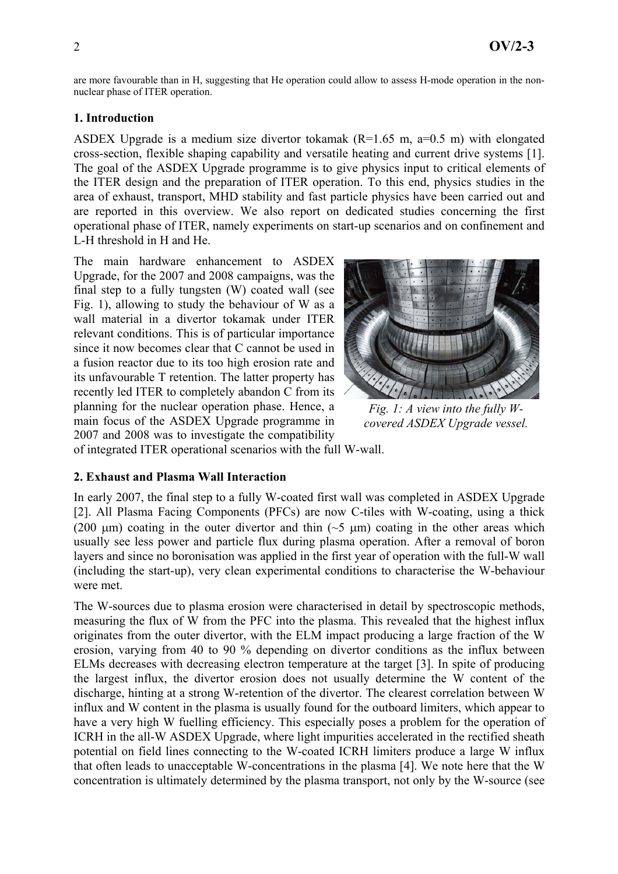are more favourable than in H, suggesting that He operation could allow to assess H-mode operation in the nonnuclear phase of ITER operation.

## **1. Introduction**

ASDEX Upgrade is a medium size divertor tokamak  $(R=1.65 \text{ m}, a=0.5 \text{ m})$  with elongated cross-section, flexible shaping capability and versatile heating and current drive systems [1]. The goal of the ASDEX Upgrade programme is to give physics input to critical elements of the ITER design and the preparation of ITER operation. To this end, physics studies in the area of exhaust, transport, MHD stability and fast particle physics have been carried out and are reported in this overview. We also report on dedicated studies concerning the first operational phase of ITER, namely experiments on start-up scenarios and on confinement and L-H threshold in H and He.

The main hardware enhancement to ASDEX Upgrade, for the 2007 and 2008 campaigns, was the final step to a fully tungsten (W) coated wall (see Fig. 1), allowing to study the behaviour of W as a wall material in a divertor tokamak under ITER relevant conditions. This is of particular importance since it now becomes clear that C cannot be used in a fusion reactor due to its too high erosion rate and its unfavourable T retention. The latter property has recently led ITER to completely abandon C from its planning for the nuclear operation phase. Hence, a main focus of the ASDEX Upgrade programme in 2007 and 2008 was to investigate the compatibility



*Fig. 1: A view into the fully Wcovered ASDEX Upgrade vessel.* 

of integrated ITER operational scenarios with the full W-wall.

## **2. Exhaust and Plasma Wall Interaction**

In early 2007, the final step to a fully W-coated first wall was completed in ASDEX Upgrade [2]. All Plasma Facing Components (PFCs) are now C-tiles with W-coating, using a thick (200  $\mu$ m) coating in the outer divertor and thin ( $\sim$ 5  $\mu$ m) coating in the other areas which usually see less power and particle flux during plasma operation. After a removal of boron layers and since no boronisation was applied in the first year of operation with the full-W wall (including the start-up), very clean experimental conditions to characterise the W-behaviour were met.

The W-sources due to plasma erosion were characterised in detail by spectroscopic methods, measuring the flux of W from the PFC into the plasma. This revealed that the highest influx originates from the outer divertor, with the ELM impact producing a large fraction of the W erosion, varying from 40 to 90 % depending on divertor conditions as the influx between ELMs decreases with decreasing electron temperature at the target [3]. In spite of producing the largest influx, the divertor erosion does not usually determine the W content of the discharge, hinting at a strong W-retention of the divertor. The clearest correlation between W influx and W content in the plasma is usually found for the outboard limiters, which appear to have a very high W fuelling efficiency. This especially poses a problem for the operation of ICRH in the all-W ASDEX Upgrade, where light impurities accelerated in the rectified sheath potential on field lines connecting to the W-coated ICRH limiters produce a large W influx that often leads to unacceptable W-concentrations in the plasma [4]. We note here that the W concentration is ultimately determined by the plasma transport, not only by the W-source (see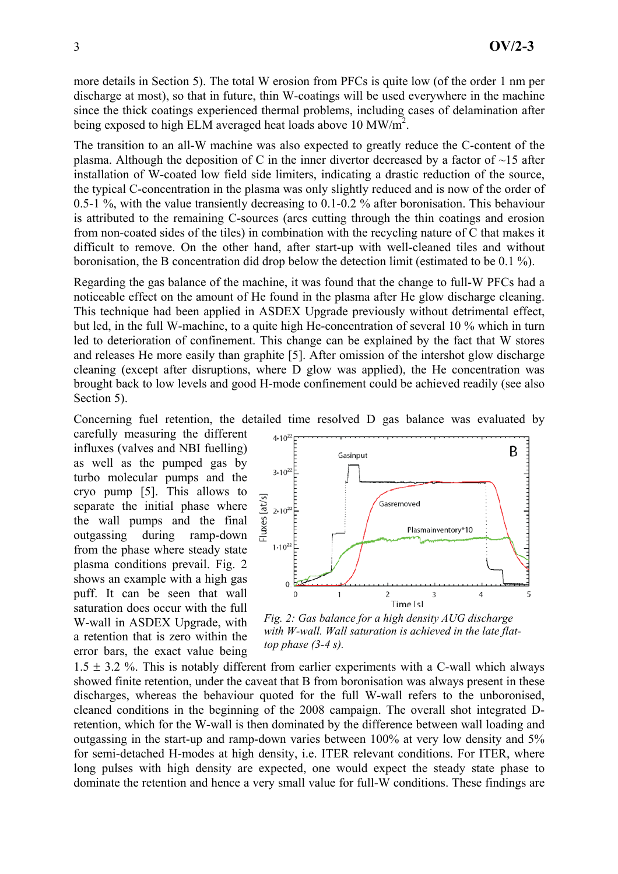more details in Section 5). The total W erosion from PFCs is quite low (of the order 1 nm per discharge at most), so that in future, thin W-coatings will be used everywhere in the machine since the thick coatings experienced thermal problems, including cases of delamination after being exposed to high ELM averaged heat loads above 10 MW/ $m^2$ .

The transition to an all-W machine was also expected to greatly reduce the C-content of the plasma. Although the deposition of C in the inner divertor decreased by a factor of  $\sim$ 15 after installation of W-coated low field side limiters, indicating a drastic reduction of the source, the typical C-concentration in the plasma was only slightly reduced and is now of the order of 0.5-1 %, with the value transiently decreasing to 0.1-0.2 % after boronisation. This behaviour is attributed to the remaining C-sources (arcs cutting through the thin coatings and erosion from non-coated sides of the tiles) in combination with the recycling nature of C that makes it difficult to remove. On the other hand, after start-up with well-cleaned tiles and without boronisation, the B concentration did drop below the detection limit (estimated to be 0.1 %).

Regarding the gas balance of the machine, it was found that the change to full-W PFCs had a noticeable effect on the amount of He found in the plasma after He glow discharge cleaning. This technique had been applied in ASDEX Upgrade previously without detrimental effect, but led, in the full W-machine, to a quite high He-concentration of several 10 % which in turn led to deterioration of confinement. This change can be explained by the fact that W stores and releases He more easily than graphite [5]. After omission of the intershot glow discharge cleaning (except after disruptions, where D glow was applied), the He concentration was brought back to low levels and good H-mode confinement could be achieved readily (see also Section 5).

Concerning fuel retention, the detailed time resolved D gas balance was evaluated by

carefully measuring the different influxes (valves and NBI fuelling) as well as the pumped gas by turbo molecular pumps and the cryo pump [5]. This allows to separate the initial phase where the wall pumps and the final outgassing during ramp-down from the phase where steady state plasma conditions prevail. Fig. 2 shows an example with a high gas puff. It can be seen that wall saturation does occur with the full W-wall in ASDEX Upgrade, with a retention that is zero within the error bars, the exact value being



*Fig. 2: Gas balance for a high density AUG discharge with W-wall. Wall saturation is achieved in the late flattop phase (3-4 s).* 

 $1.5 \pm 3.2$  %. This is notably different from earlier experiments with a C-wall which always showed finite retention, under the caveat that B from boronisation was always present in these discharges, whereas the behaviour quoted for the full W-wall refers to the unboronised, cleaned conditions in the beginning of the 2008 campaign. The overall shot integrated Dretention, which for the W-wall is then dominated by the difference between wall loading and outgassing in the start-up and ramp-down varies between 100% at very low density and 5% for semi-detached H-modes at high density, i.e. ITER relevant conditions. For ITER, where long pulses with high density are expected, one would expect the steady state phase to dominate the retention and hence a very small value for full-W conditions. These findings are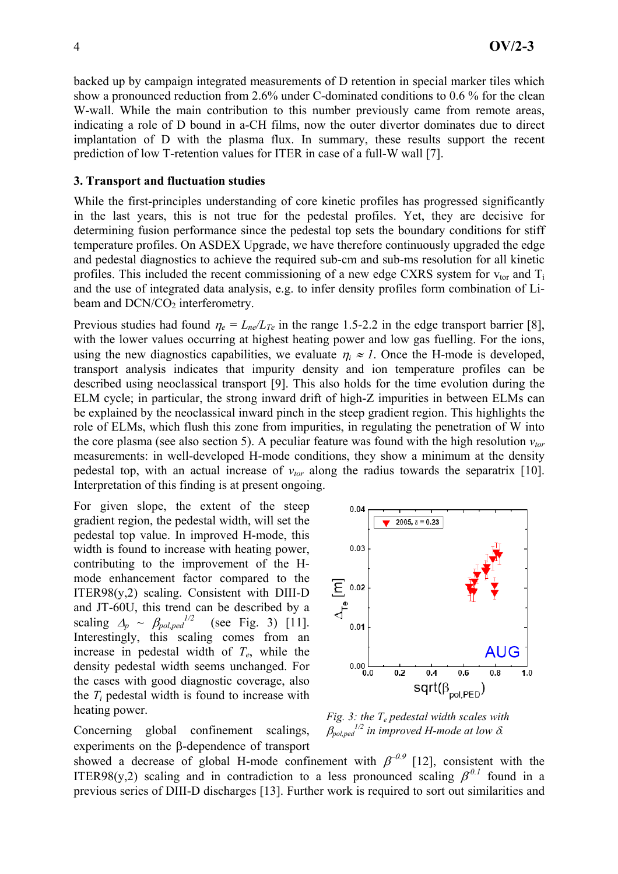backed up by campaign integrated measurements of D retention in special marker tiles which show a pronounced reduction from 2.6% under C-dominated conditions to 0.6 % for the clean W-wall. While the main contribution to this number previously came from remote areas, indicating a role of D bound in a-CH films, now the outer divertor dominates due to direct implantation of D with the plasma flux. In summary, these results support the recent prediction of low T-retention values for ITER in case of a full-W wall [7].

### **3. Transport and fluctuation studies**

While the first-principles understanding of core kinetic profiles has progressed significantly in the last years, this is not true for the pedestal profiles. Yet, they are decisive for determining fusion performance since the pedestal top sets the boundary conditions for stiff temperature profiles. On ASDEX Upgrade, we have therefore continuously upgraded the edge and pedestal diagnostics to achieve the required sub-cm and sub-ms resolution for all kinetic profiles. This included the recent commissioning of a new edge CXRS system for  $v_{tor}$  and  $T_i$ and the use of integrated data analysis, e.g. to infer density profiles form combination of Libeam and DCN/CO<sub>2</sub> interferometry.

Previous studies had found  $\eta_e = L_{ne}/L_{Te}$  in the range 1.5-2.2 in the edge transport barrier [8], with the lower values occurring at highest heating power and low gas fuelling. For the ions, using the new diagnostics capabilities, we evaluate  $\eta_i \approx I$ . Once the H-mode is developed, transport analysis indicates that impurity density and ion temperature profiles can be described using neoclassical transport [9]. This also holds for the time evolution during the ELM cycle; in particular, the strong inward drift of high-Z impurities in between ELMs can be explained by the neoclassical inward pinch in the steep gradient region. This highlights the role of ELMs, which flush this zone from impurities, in regulating the penetration of W into the core plasma (see also section 5). A peculiar feature was found with the high resolution *vtor* measurements: in well-developed H-mode conditions, they show a minimum at the density pedestal top, with an actual increase of  $v_{tor}$  along the radius towards the separatrix [10]. Interpretation of this finding is at present ongoing.

For given slope, the extent of the steep gradient region, the pedestal width, will set the pedestal top value. In improved H-mode, this width is found to increase with heating power, contributing to the improvement of the Hmode enhancement factor compared to the ITER98(y,2) scaling. Consistent with DIII-D and JT-60U, this trend can be described by a scaling  $\Delta_p \sim \beta_{pol,ped}^{1/2}$  (see Fig. 3) [11]. Interestingly, this scaling comes from an increase in pedestal width of *Te*, while the density pedestal width seems unchanged. For the cases with good diagnostic coverage, also the  $T_i$  pedestal width is found to increase with heating power.

Concerning global confinement scalings, experiments on the β-dependence of transport



*Fig. 3: the Te pedestal width scales with*   $\beta_{pol,ped}$ <sup> $1/2$ </sup> in improved H-mode at low  $\delta$ .

showed a decrease of global H-mode confinement with  $\beta^{-0.9}$  [12], consistent with the ITER98(y,2) scaling and in contradiction to a less pronounced scaling  $\beta^{0.1}$  found in a previous series of DIII-D discharges [13]. Further work is required to sort out similarities and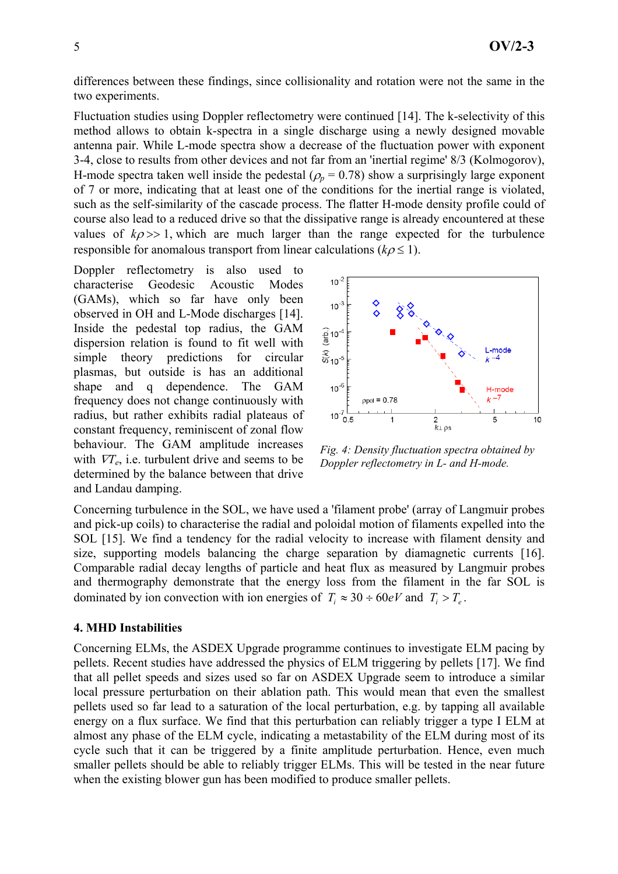differences between these findings, since collisionality and rotation were not the same in the two experiments.

Fluctuation studies using Doppler reflectometry were continued [14]. The k-selectivity of this method allows to obtain k-spectra in a single discharge using a newly designed movable antenna pair. While L-mode spectra show a decrease of the fluctuation power with exponent 3-4, close to results from other devices and not far from an 'inertial regime' 8/3 (Kolmogorov), H-mode spectra taken well inside the pedestal  $(\rho_p = 0.78)$  show a surprisingly large exponent of 7 or more, indicating that at least one of the conditions for the inertial range is violated, such as the self-similarity of the cascade process. The flatter H-mode density profile could of course also lead to a reduced drive so that the dissipative range is already encountered at these values of  $k\rho \gg 1$ , which are much larger than the range expected for the turbulence responsible for anomalous transport from linear calculations  $(k\rho \le 1)$ .

Doppler reflectometry is also used to characterise Geodesic Acoustic Modes (GAMs), which so far have only been observed in OH and L-Mode discharges [14]. Inside the pedestal top radius, the GAM dispersion relation is found to fit well with simple theory predictions for circular plasmas, but outside is has an additional shape and q dependence. The GAM frequency does not change continuously with radius, but rather exhibits radial plateaus of constant frequency, reminiscent of zonal flow behaviour. The GAM amplitude increases with  $\overline{VI}_e$ , i.e. turbulent drive and seems to be determined by the balance between that drive and Landau damping.



*Fig. 4: Density fluctuation spectra obtained by Doppler reflectometry in L- and H-mode.* 

Concerning turbulence in the SOL, we have used a 'filament probe' (array of Langmuir probes and pick-up coils) to characterise the radial and poloidal motion of filaments expelled into the SOL [15]. We find a tendency for the radial velocity to increase with filament density and size, supporting models balancing the charge separation by diamagnetic currents [16]. Comparable radial decay lengths of particle and heat flux as measured by Langmuir probes and thermography demonstrate that the energy loss from the filament in the far SOL is dominated by ion convection with ion energies of  $T_i \approx 30 \div 60eV$  and  $T_i > T_a$ .

#### **4. MHD Instabilities**

Concerning ELMs, the ASDEX Upgrade programme continues to investigate ELM pacing by pellets. Recent studies have addressed the physics of ELM triggering by pellets [17]. We find that all pellet speeds and sizes used so far on ASDEX Upgrade seem to introduce a similar local pressure perturbation on their ablation path. This would mean that even the smallest pellets used so far lead to a saturation of the local perturbation, e.g. by tapping all available energy on a flux surface. We find that this perturbation can reliably trigger a type I ELM at almost any phase of the ELM cycle, indicating a metastability of the ELM during most of its cycle such that it can be triggered by a finite amplitude perturbation. Hence, even much smaller pellets should be able to reliably trigger ELMs. This will be tested in the near future when the existing blower gun has been modified to produce smaller pellets.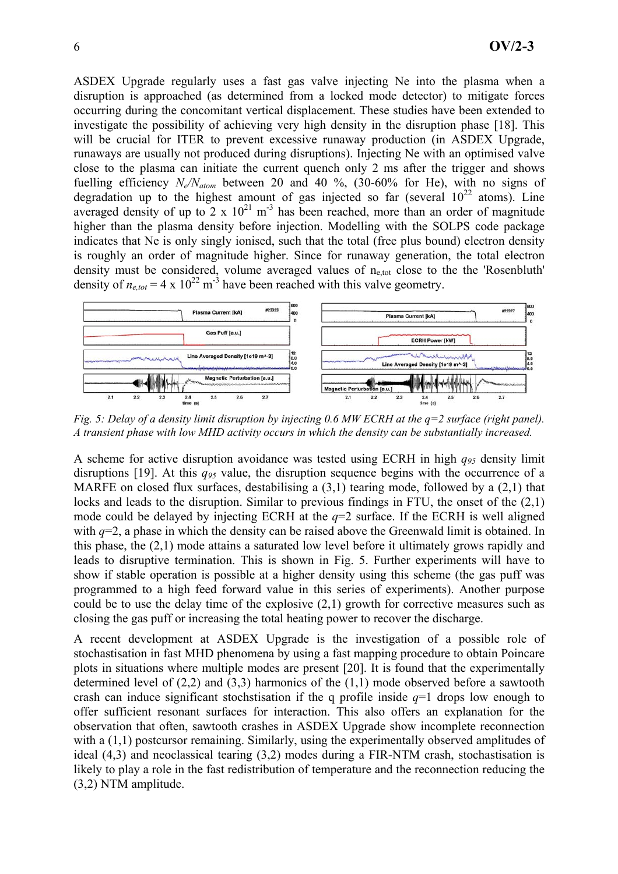ASDEX Upgrade regularly uses a fast gas valve injecting Ne into the plasma when a disruption is approached (as determined from a locked mode detector) to mitigate forces occurring during the concomitant vertical displacement. These studies have been extended to investigate the possibility of achieving very high density in the disruption phase [18]. This will be crucial for ITER to prevent excessive runaway production (in ASDEX Upgrade, runaways are usually not produced during disruptions). Injecting Ne with an optimised valve close to the plasma can initiate the current quench only 2 ms after the trigger and shows fuelling efficiency  $N_e/N_{atom}$  between 20 and 40 %, (30-60% for He), with no signs of degradation up to the highest amount of gas injected so far (several  $10^{22}$  atoms). Line averaged density of up to  $2 \times 10^{21}$  m<sup>-3</sup> has been reached, more than an order of magnitude higher than the plasma density before injection. Modelling with the SOLPS code package indicates that Ne is only singly ionised, such that the total (free plus bound) electron density is roughly an order of magnitude higher. Since for runaway generation, the total electron density must be considered, volume averaged values of  $n_{\text{etot}}$  close to the the 'Rosenbluth' density of  $n_{e,tot} = 4 \times 10^{22}$  m<sup>-3</sup> have been reached with this valve geometry.



*Fig. 5: Delay of a density limit disruption by injecting 0.6 MW ECRH at the q=2 surface (right panel). A transient phase with low MHD activity occurs in which the density can be substantially increased.* 

A scheme for active disruption avoidance was tested using ECRH in high *q95* density limit disruptions [19]. At this  $q_{95}$  value, the disruption sequence begins with the occurrence of a MARFE on closed flux surfaces, destabilising a  $(3,1)$  tearing mode, followed by a  $(2,1)$  that locks and leads to the disruption. Similar to previous findings in FTU, the onset of the (2,1) mode could be delayed by injecting ECRH at the  $q=2$  surface. If the ECRH is well aligned with *q*=2, a phase in which the density can be raised above the Greenwald limit is obtained. In this phase, the (2,1) mode attains a saturated low level before it ultimately grows rapidly and leads to disruptive termination. This is shown in Fig. 5. Further experiments will have to show if stable operation is possible at a higher density using this scheme (the gas puff was programmed to a high feed forward value in this series of experiments). Another purpose could be to use the delay time of the explosive (2,1) growth for corrective measures such as closing the gas puff or increasing the total heating power to recover the discharge.

A recent development at ASDEX Upgrade is the investigation of a possible role of stochastisation in fast MHD phenomena by using a fast mapping procedure to obtain Poincare plots in situations where multiple modes are present [20]. It is found that the experimentally determined level of  $(2,2)$  and  $(3,3)$  harmonics of the  $(1,1)$  mode observed before a sawtooth crash can induce significant stochstisation if the q profile inside  $q=1$  drops low enough to offer sufficient resonant surfaces for interaction. This also offers an explanation for the observation that often, sawtooth crashes in ASDEX Upgrade show incomplete reconnection with a  $(1,1)$  postcursor remaining. Similarly, using the experimentally observed amplitudes of ideal (4,3) and neoclassical tearing (3,2) modes during a FIR-NTM crash, stochastisation is likely to play a role in the fast redistribution of temperature and the reconnection reducing the (3,2) NTM amplitude.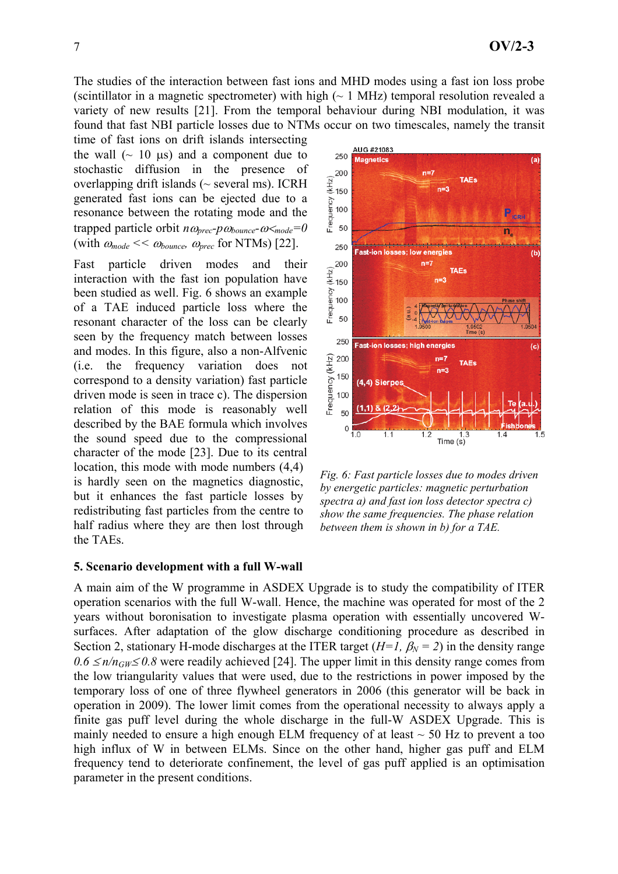The studies of the interaction between fast ions and MHD modes using a fast ion loss probe (scintillator in a magnetic spectrometer) with high  $(\sim 1 \text{ MHz})$  temporal resolution revealed a variety of new results [21]. From the temporal behaviour during NBI modulation, it was found that fast NBI particle losses due to NTMs occur on two timescales, namely the transit time of fast ions on drift islands intersecting

the wall  $(~ 10 \text{ \mu s})$  and a component due to stochastic diffusion in the presence of overlapping drift islands ( $\sim$  several ms). ICRH generated fast ions can be ejected due to a resonance between the rotating mode and the trapped particle orbit *n*ω*prec-p*ω*bounce-*ω<*mode=0* (with  $\omega_{mode} \ll \omega_{bounce}$ ,  $\omega_{prec}$  for NTMs) [22].

Fast particle driven modes and their interaction with the fast ion population have been studied as well. Fig. 6 shows an example of a TAE induced particle loss where the resonant character of the loss can be clearly seen by the frequency match between losses and modes. In this figure, also a non-Alfvenic (i.e. the frequency variation does not correspond to a density variation) fast particle driven mode is seen in trace c). The dispersion relation of this mode is reasonably well described by the BAE formula which involves the sound speed due to the compressional character of the mode [23]. Due to its central location, this mode with mode numbers (4,4) is hardly seen on the magnetics diagnostic, but it enhances the fast particle losses by redistributing fast particles from the centre to half radius where they are then lost through the TAEs.





*Fig. 6: Fast particle losses due to modes driven by energetic particles: magnetic perturbation spectra a) and fast ion loss detector spectra c) show the same frequencies. The phase relation between them is shown in b) for a TAE.* 

A main aim of the W programme in ASDEX Upgrade is to study the compatibility of ITER operation scenarios with the full W-wall. Hence, the machine was operated for most of the 2 years without boronisation to investigate plasma operation with essentially uncovered Wsurfaces. After adaptation of the glow discharge conditioning procedure as described in Section 2, stationary H-mode discharges at the ITER target  $(H=1, \beta_N = 2)$  in the density range  $0.6 \le n/n_{GW} \le 0.8$  were readily achieved [24]. The upper limit in this density range comes from the low triangularity values that were used, due to the restrictions in power imposed by the temporary loss of one of three flywheel generators in 2006 (this generator will be back in operation in 2009). The lower limit comes from the operational necessity to always apply a finite gas puff level during the whole discharge in the full-W ASDEX Upgrade. This is mainly needed to ensure a high enough ELM frequency of at least  $\sim$  50 Hz to prevent a too high influx of W in between ELMs. Since on the other hand, higher gas puff and ELM frequency tend to deteriorate confinement, the level of gas puff applied is an optimisation parameter in the present conditions.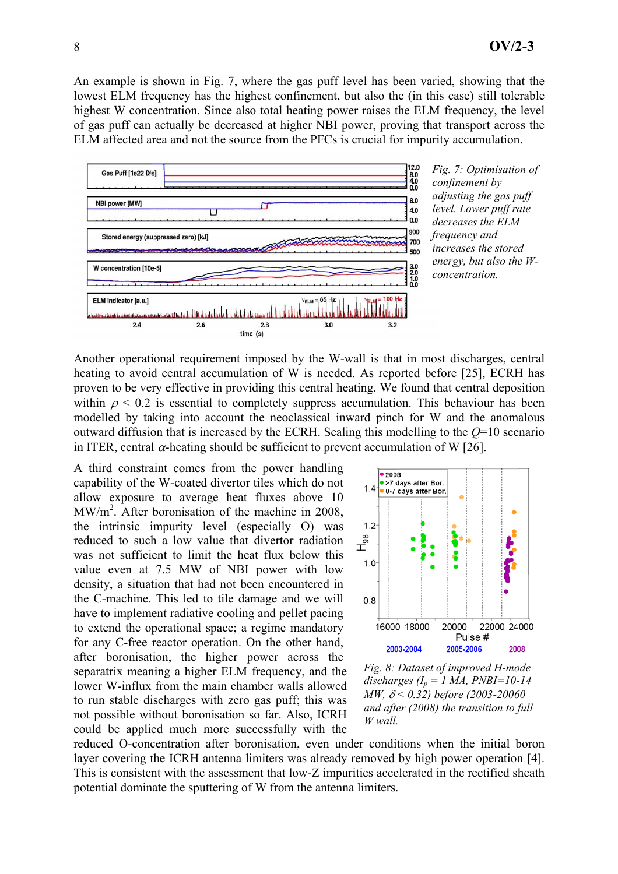An example is shown in Fig. 7, where the gas puff level has been varied, showing that the lowest ELM frequency has the highest confinement, but also the (in this case) still tolerable highest W concentration. Since also total heating power raises the ELM frequency, the level of gas puff can actually be decreased at higher NBI power, proving that transport across the ELM affected area and not the source from the PFCs is crucial for impurity accumulation.



Another operational requirement imposed by the W-wall is that in most discharges, central heating to avoid central accumulation of W is needed. As reported before [25], ECRH has proven to be very effective in providing this central heating. We found that central deposition within  $\rho$  < 0.2 is essential to completely suppress accumulation. This behaviour has been modelled by taking into account the neoclassical inward pinch for W and the anomalous outward diffusion that is increased by the ECRH. Scaling this modelling to the *Q*=10 scenario in ITER, central  $\alpha$ -heating should be sufficient to prevent accumulation of W [26].

A third constraint comes from the power handling capability of the W-coated divertor tiles which do not allow exposure to average heat fluxes above 10 MW/m2 . After boronisation of the machine in 2008, the intrinsic impurity level (especially O) was reduced to such a low value that divertor radiation was not sufficient to limit the heat flux below this value even at 7.5 MW of NBI power with low density, a situation that had not been encountered in the C-machine. This led to tile damage and we will have to implement radiative cooling and pellet pacing to extend the operational space; a regime mandatory for any C-free reactor operation. On the other hand, after boronisation, the higher power across the separatrix meaning a higher ELM frequency, and the lower W-influx from the main chamber walls allowed to run stable discharges with zero gas puff; this was not possible without boronisation so far. Also, ICRH could be applied much more successfully with the



*Fig. 8: Dataset of improved H-mode*  discharges  $(I_p = 1 MA, PNBI=10-14$ *MW, δ* < 0.32) before (2003-20060 *and after (2008) the transition to full W wall.* 

reduced O-concentration after boronisation, even under conditions when the initial boron layer covering the ICRH antenna limiters was already removed by high power operation [4]. This is consistent with the assessment that low-Z impurities accelerated in the rectified sheath potential dominate the sputtering of W from the antenna limiters.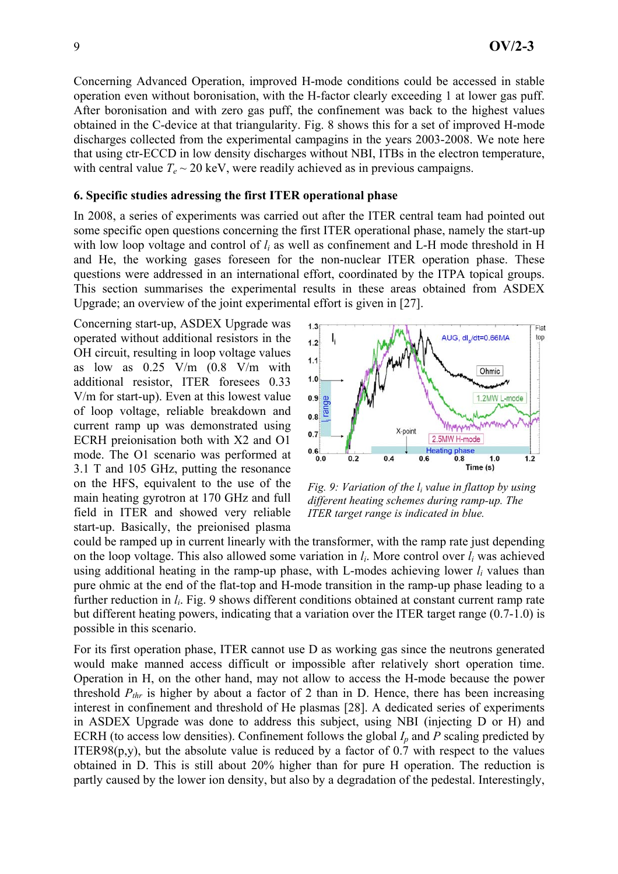Concerning Advanced Operation, improved H-mode conditions could be accessed in stable operation even without boronisation, with the H-factor clearly exceeding 1 at lower gas puff. After boronisation and with zero gas puff, the confinement was back to the highest values obtained in the C-device at that triangularity. Fig. 8 shows this for a set of improved H-mode discharges collected from the experimental campagins in the years 2003-2008. We note here that using ctr-ECCD in low density discharges without NBI, ITBs in the electron temperature, with central value  $T_e \sim 20 \text{ keV}$ , were readily achieved as in previous campaigns.

### **6. Specific studies adressing the first ITER operational phase**

In 2008, a series of experiments was carried out after the ITER central team had pointed out some specific open questions concerning the first ITER operational phase, namely the start-up with low loop voltage and control of  $l_i$  as well as confinement and L-H mode threshold in H and He, the working gases foreseen for the non-nuclear ITER operation phase. These questions were addressed in an international effort, coordinated by the ITPA topical groups. This section summarises the experimental results in these areas obtained from ASDEX Upgrade; an overview of the joint experimental effort is given in [27].

Concerning start-up, ASDEX Upgrade was operated without additional resistors in the OH circuit, resulting in loop voltage values as low as 0.25 V/m (0.8 V/m with additional resistor, ITER foresees 0.33 V/m for start-up). Even at this lowest value of loop voltage, reliable breakdown and current ramp up was demonstrated using ECRH preionisation both with X2 and O1 mode. The O1 scenario was performed at 3.1 T and 105 GHz, putting the resonance on the HFS, equivalent to the use of the main heating gyrotron at 170 GHz and full field in ITER and showed very reliable start-up. Basically, the preionised plasma



*Fig. 9: Variation of the li value in flattop by using different heating schemes during ramp-up. The ITER target range is indicated in blue.* 

could be ramped up in current linearly with the transformer, with the ramp rate just depending on the loop voltage. This also allowed some variation in *li*. More control over *li* was achieved using additional heating in the ramp-up phase, with L-modes achieving lower  $l_i$  values than pure ohmic at the end of the flat-top and H-mode transition in the ramp-up phase leading to a further reduction in *l<sub>i</sub>*. Fig. 9 shows different conditions obtained at constant current ramp rate but different heating powers, indicating that a variation over the ITER target range (0.7-1.0) is possible in this scenario.

For its first operation phase, ITER cannot use D as working gas since the neutrons generated would make manned access difficult or impossible after relatively short operation time. Operation in H, on the other hand, may not allow to access the H-mode because the power threshold  $P_{thr}$  is higher by about a factor of 2 than in D. Hence, there has been increasing interest in confinement and threshold of He plasmas [28]. A dedicated series of experiments in ASDEX Upgrade was done to address this subject, using NBI (injecting D or H) and ECRH (to access low densities). Confinement follows the global  $I_p$  and  $P$  scaling predicted by ITER98 $(p,y)$ , but the absolute value is reduced by a factor of 0.7 with respect to the values obtained in D. This is still about 20% higher than for pure H operation. The reduction is partly caused by the lower ion density, but also by a degradation of the pedestal. Interestingly,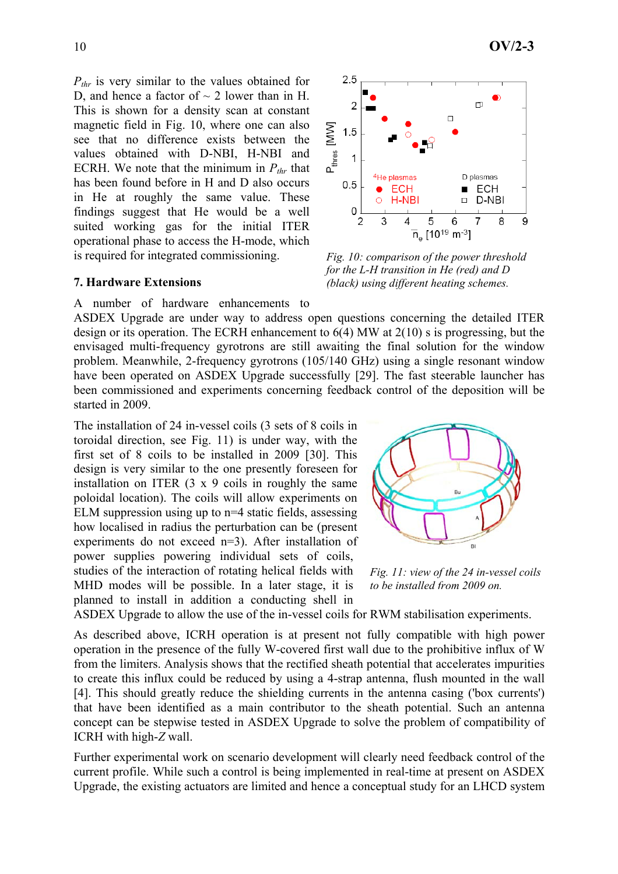*P<sub>thr</sub>* is very similar to the values obtained for D, and hence a factor of  $\sim$  2 lower than in H. This is shown for a density scan at constant magnetic field in Fig. 10, where one can also see that no difference exists between the values obtained with D-NBI, H-NBI and ECRH. We note that the minimum in  $P_{thr}$  that has been found before in H and D also occurs in He at roughly the same value. These findings suggest that He would be a well suited working gas for the initial ITER operational phase to access the H-mode, which is required for integrated commissioning.

### **7. Hardware Extensions**

A number of hardware enhancements to

ASDEX Upgrade are under way to address open questions concerning the detailed ITER design or its operation. The ECRH enhancement to 6(4) MW at 2(10) s is progressing, but the envisaged multi-frequency gyrotrons are still awaiting the final solution for the window problem. Meanwhile, 2-frequency gyrotrons (105/140 GHz) using a single resonant window have been operated on ASDEX Upgrade successfully [29]. The fast steerable launcher has been commissioned and experiments concerning feedback control of the deposition will be started in 2009.

The installation of 24 in-vessel coils (3 sets of 8 coils in toroidal direction, see Fig. 11) is under way, with the first set of 8 coils to be installed in 2009 [30]. This design is very similar to the one presently foreseen for installation on ITER  $(3 \times 9)$  coils in roughly the same poloidal location). The coils will allow experiments on ELM suppression using up to n=4 static fields, assessing how localised in radius the perturbation can be (present experiments do not exceed n=3). After installation of power supplies powering individual sets of coils, studies of the interaction of rotating helical fields with MHD modes will be possible. In a later stage, it is planned to install in addition a conducting shell in



ASDEX Upgrade to allow the use of the in-vessel coils for RWM stabilisation experiments.

As described above, ICRH operation is at present not fully compatible with high power operation in the presence of the fully W-covered first wall due to the prohibitive influx of W from the limiters. Analysis shows that the rectified sheath potential that accelerates impurities to create this influx could be reduced by using a 4-strap antenna, flush mounted in the wall [4]. This should greatly reduce the shielding currents in the antenna casing ('box currents') that have been identified as a main contributor to the sheath potential. Such an antenna concept can be stepwise tested in ASDEX Upgrade to solve the problem of compatibility of ICRH with high-*Z* wall.

Further experimental work on scenario development will clearly need feedback control of the current profile. While such a control is being implemented in real-time at present on ASDEX Upgrade, the existing actuators are limited and hence a conceptual study for an LHCD system



*Fig. 10: comparison of the power threshold for the L-H transition in He (red) and D (black) using different heating schemes.*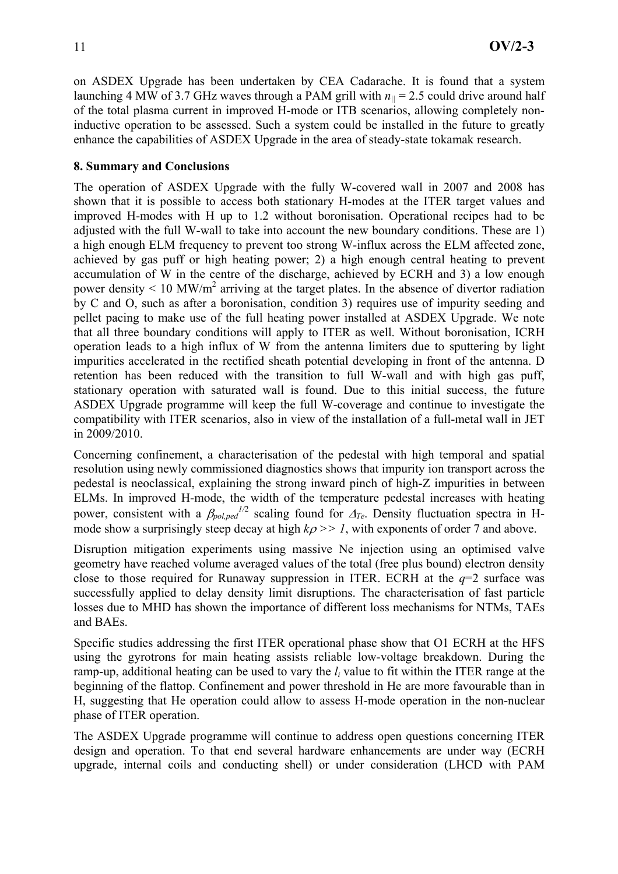on ASDEX Upgrade has been undertaken by CEA Cadarache. It is found that a system launching 4 MW of 3.7 GHz waves through a PAM grill with  $n_{\parallel}$  = 2.5 could drive around half of the total plasma current in improved H-mode or ITB scenarios, allowing completely noninductive operation to be assessed. Such a system could be installed in the future to greatly enhance the capabilities of ASDEX Upgrade in the area of steady-state tokamak research.

# **8. Summary and Conclusions**

The operation of ASDEX Upgrade with the fully W-covered wall in 2007 and 2008 has shown that it is possible to access both stationary H-modes at the ITER target values and improved H-modes with H up to 1.2 without boronisation. Operational recipes had to be adjusted with the full W-wall to take into account the new boundary conditions. These are 1) a high enough ELM frequency to prevent too strong W-influx across the ELM affected zone, achieved by gas puff or high heating power; 2) a high enough central heating to prevent accumulation of W in the centre of the discharge, achieved by ECRH and 3) a low enough power density  $\leq 10$  MW/m<sup>2</sup> arriving at the target plates. In the absence of divertor radiation by C and O, such as after a boronisation, condition 3) requires use of impurity seeding and pellet pacing to make use of the full heating power installed at ASDEX Upgrade. We note that all three boundary conditions will apply to ITER as well. Without boronisation, ICRH operation leads to a high influx of W from the antenna limiters due to sputtering by light impurities accelerated in the rectified sheath potential developing in front of the antenna. D retention has been reduced with the transition to full W-wall and with high gas puff, stationary operation with saturated wall is found. Due to this initial success, the future ASDEX Upgrade programme will keep the full W-coverage and continue to investigate the compatibility with ITER scenarios, also in view of the installation of a full-metal wall in JET in 2009/2010.

Concerning confinement, a characterisation of the pedestal with high temporal and spatial resolution using newly commissioned diagnostics shows that impurity ion transport across the pedestal is neoclassical, explaining the strong inward pinch of high-Z impurities in between ELMs. In improved H-mode, the width of the temperature pedestal increases with heating power, consistent with a  $\beta_{pol,ped}$ <sup>1/2</sup> scaling found for  $\Delta_{Te}$ . Density fluctuation spectra in Hmode show a surprisingly steep decay at high  $k\rho \gg 1$ , with exponents of order 7 and above.

Disruption mitigation experiments using massive Ne injection using an optimised valve geometry have reached volume averaged values of the total (free plus bound) electron density close to those required for Runaway suppression in ITER. ECRH at the  $q=2$  surface was successfully applied to delay density limit disruptions. The characterisation of fast particle losses due to MHD has shown the importance of different loss mechanisms for NTMs, TAEs and BAEs.

Specific studies addressing the first ITER operational phase show that O1 ECRH at the HFS using the gyrotrons for main heating assists reliable low-voltage breakdown. During the ramp-up, additional heating can be used to vary the *li* value to fit within the ITER range at the beginning of the flattop. Confinement and power threshold in He are more favourable than in H, suggesting that He operation could allow to assess H-mode operation in the non-nuclear phase of ITER operation.

The ASDEX Upgrade programme will continue to address open questions concerning ITER design and operation. To that end several hardware enhancements are under way (ECRH upgrade, internal coils and conducting shell) or under consideration (LHCD with PAM